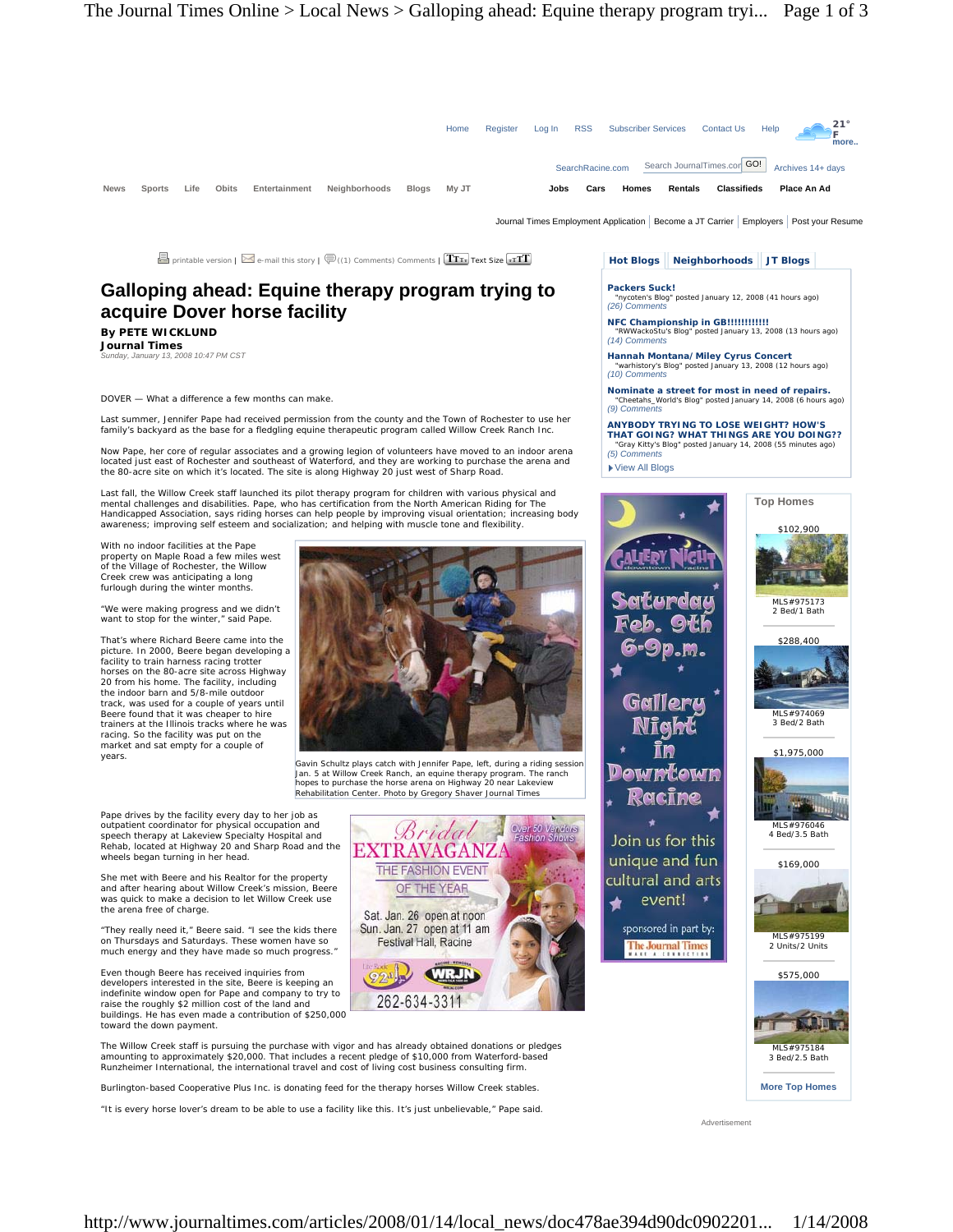

Journal Times Employment Application | Become a JT Carrier | Employers | Post your Resume

 $\Box$  printable version |  $\blacksquare$  e-mail this story |  $\bigcircled{\overline{\mathbb{P}}}$  ((1) Comments) Comments |  $\boxed{\text{Tr}_\text{Tr}}$  Text Size  $\boxed{\cdot \text{Tr} \text{T}}$ 

# **Galloping ahead: Equine therapy program trying to acquire Dover horse facility**

**By PETE WICKLUND Journal Times** 

*Sunday, January 13, 2008 10:47 PM CST* 

DOVER — What a difference a few months can make.

Last summer, Jennifer Pape had received permission from the county and the Town of Rochester to use her family's backyard as the base for a fledgling equine therapeutic program called Willow Creek Ranch Inc.

Now Pape, her core of regular associates and a growing legion of volunteers have moved to an indoor arena located just east of Rochester and southeast of Waterford, and they are working to purchase the arena and the 80-acre site on which it's located. The site is along Highway 20 just west of Sharp Road.

Last fall, the Willow Creek staff launched its pilot therapy program for children with various physical and mental challenges and disabilities. Pape, who has certification from the North American Riding for The Handicapped Association, says riding horses can help people by improving visual orientation; increasing body awareness; improving self esteem and socialization; and helping with muscle tone and flexibility.

With no indoor facilities at the Pape property on Maple Road a few miles west of the Village of Rochester, the Willow Creek crew was anticipating a long furlough during the winter months

"We were making progress and we didn't want to stop for the winter," said Pape.

That's where Richard Beere came into the picture. In 2000, Beere began developing a facility to train harness racing trotter horses on the 80-acre site across Highway 20 from his home. The facility, including the indoor barn and 5/8-mile outdoor track, was used for a couple of years until Beere found that it was cheaper to hire trainers at the Illinois tracks where he was racing. So the facility was put on the market and sat empty for a couple of years.



Gavin Schultz plays catch with Jennifer Pape, left, during a riding session Jan. 5 at Willow Creek Ranch, an equine therapy program. The ranch hopes to purchase the horse arena on Highway 20 near Lakeview Rehabilitation Center. Photo by Gregory Shaver Journal Times

Bridai

THE FASHION EVENT

OF THE YEAR

Sat. Jan. 26 open at noon Sun. Jan. 27 open at 11 am

Festival Hall, Racine

262-634-331

**EXTRAVAGANZ** 

Over 50 Vendors

Pape drives by the facility every day to her job as outpatient coordinator for physical occupation and speech therapy at Lakeview Specialty Hospital and Rehab, located at Highway 20 and Sharp Road and the wheels began turning in her head.

She met with Beere and his Realtor for the property and after hearing about Willow Creek's mission, Beere was quick to make a decision to let Willow Creek use the arena free of charge.

"They really need it," Beere said. "I see the kids there on Thursdays and Saturdays. These women have so much energy and they have made so much progress."

Even though Beere has received inquiries from developers interested in the site, Beere is keeping an indefinite window open for Pape and company to try to raise the roughly \$2 million cost of the land and buildings. He has even made a contribution of \$250,000 toward the down payment.

The Willow Creek staff is pursuing the purchase with vigor and has already obtained donations or pledges amounting to approximately \$20,000. That includes a recent pledge of \$10,000 from Waterford-based Runzheimer International, the international travel and cost of living cost business consulting firm.

Burlington-based Cooperative Plus Inc. is donating feed for the therapy horses Willow Creek stables.

"It is every horse lover's dream to be able to use a facility like this. It's just unbelievable," Pape said.

## **Hot Blogs Neighborhoods JT Blogs**

**Packers Suck!**  "nycoten's Blog" posted January 12, 2008 (41 hours ago) *(26) Comments* 

**NFC Championship in GB!!!!!!!!!!!!**  tu's Blog" posted January 13, 2008 (13 hours ago) *(14) Comments* 

**Hannah Montana/Miley Cyrus Concert**  "warhistory's Blog" posted January 13, 2008 (12 hours ago) *(10) Comments* 

**Nominate a street for most in need of repairs.**  "Cheetahs\_World's Blog" posted January 14, 2008 (6 hours ago) *(9) Comments* 

**ANYBODY TRYING TO LOSE WEIGHT? HOW'S THAT GOING? WHAT THINGS ARE YOU DOING??**  "Gray Kitty's Blog" posted January 14, 2008 (55 minutes ago) *(5) Comments* 

▶ View All Blogs



Advertisement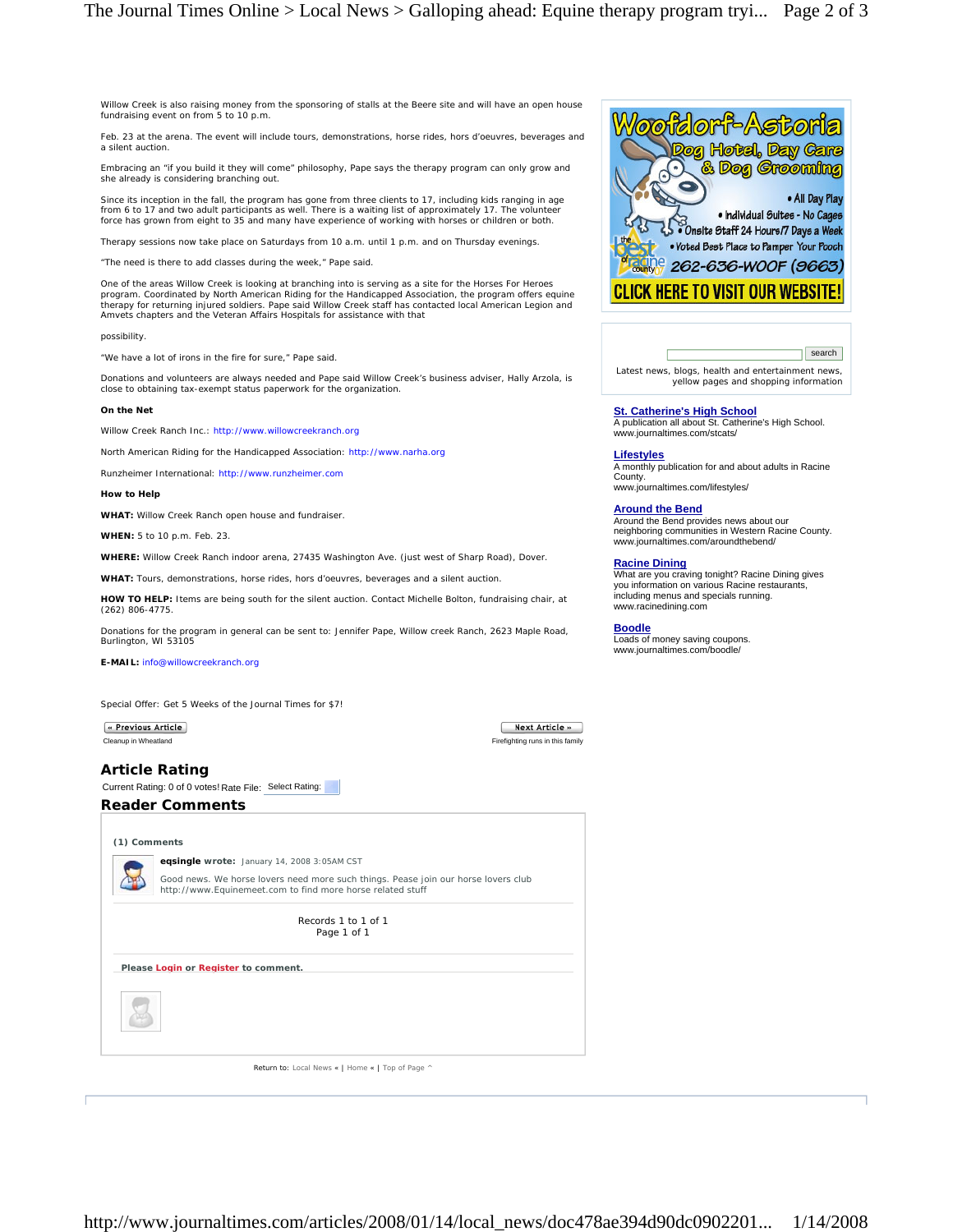Willow Creek is also raising money from the sponsoring of stalls at the Beere site and will have an open house fundraising event on from 5 to 10 p.m.

Feb. 23 at the arena. The event will include tours, demonstrations, horse rides, hors d'oeuvres, beverages and a silent auction.

Embracing an "if you build it they will come" philosophy, Pape says the therapy program can only grow and she already is considering branching out.

Since its inception in the fall, the program has gone from three clients to 17, including kids ranging in age from 6 to 17 and two adult participants as well. There is a waiting list of approximately 17. The volunteer force has grown from eight to 35 and many have experience of working with horses or children or both.

Therapy sessions now take place on Saturdays from 10 a.m. until 1 p.m. and on Thursday evenings.

"The need is there to add classes during the week," Pape said.

One of the areas Willow Creek is looking at branching into is serving as a site for the Horses For Heroes program. Coordinated by North American Riding for the Handicapped Association, the program offers equine therapy for returning injured soldiers. Pape said Willow Creek staff has contacted local American Legion and Amvets chapters and the Veteran Affairs Hospitals for assistance with that

possibility.

"We have a lot of irons in the fire for sure," Pape said.

Donations and volunteers are always needed and Pape said Willow Creek's business adviser, Hally Arzola, is close to obtaining tax-exempt status paperwork for the organization.

### **On the Net**

Willow Creek Ranch Inc.: http://www.willowcreekranch.org

North American Riding for the Handicapped Association: http://www.narha.org

Runzheimer International: http://www.runzheimer.com

## **How to Help**

**WHAT:** Willow Creek Ranch open house and fundraiser.

**WHEN:** 5 to 10 p.m. Feb. 23.

**WHERE:** Willow Creek Ranch indoor arena, 27435 Washington Ave. (just west of Sharp Road), Dover.

**WHAT:** Tours, demonstrations, horse rides, hors d'oeuvres, beverages and a silent auction.

**HOW TO HELP:** Items are being south for the silent auction. Contact Michelle Bolton, fundraising chair, at (262) 806-4775.

Donations for the program in general can be sent to: Jennifer Pape, Willow creek Ranch, 2623 Maple Road, Burlington, WI 53105

**E-MAIL:** info@willowcreekranch.org

Special Offer: Get 5 Weeks of the Journal Times for \$7!

« Previous Article

# Cleanup in Wheatland Firefighting runs in this family

Next Article »

**Article Rating**  Current Rating: 0 of 0 votes! Rate File: Select Rating:

## **Reader Comments**

| (1) Comments |                                                                                                                                                  |
|--------------|--------------------------------------------------------------------------------------------------------------------------------------------------|
|              | eqsingle wrote: January 14, 2008 3:05AM CST                                                                                                      |
|              | Good news. We horse lovers need more such things. Pease join our horse lovers club<br>http://www.Equinemeet.com to find more horse related stuff |
|              | Records 1 to 1 of 1<br>Page 1 of 1                                                                                                               |
|              | Please Login or Register to comment.                                                                                                             |
|              |                                                                                                                                                  |
|              |                                                                                                                                                  |



 search Latest news, blogs, health and entertainment news, yellow pages and shopping information

**St. Catherine's High School** A publication all about St. Catherine's High School. www.journaltimes.com/stcats/

### **Lifestyles**

A monthly publication for and about adults in Racine County. www.journaltimes.com/lifestyles/

**Around the Bend** Around the Bend provides news about our neighboring communities in Western Racine County. www.journaltimes.com/aroundthebend/

**Racine Dining** What are you craving tonight? Racine Dining gives you information on various Racine restaurants, including menus and specials running. www.racinedining.com

**Boodle**

Loads of money saving coupons. www.journaltimes.com/boodle/